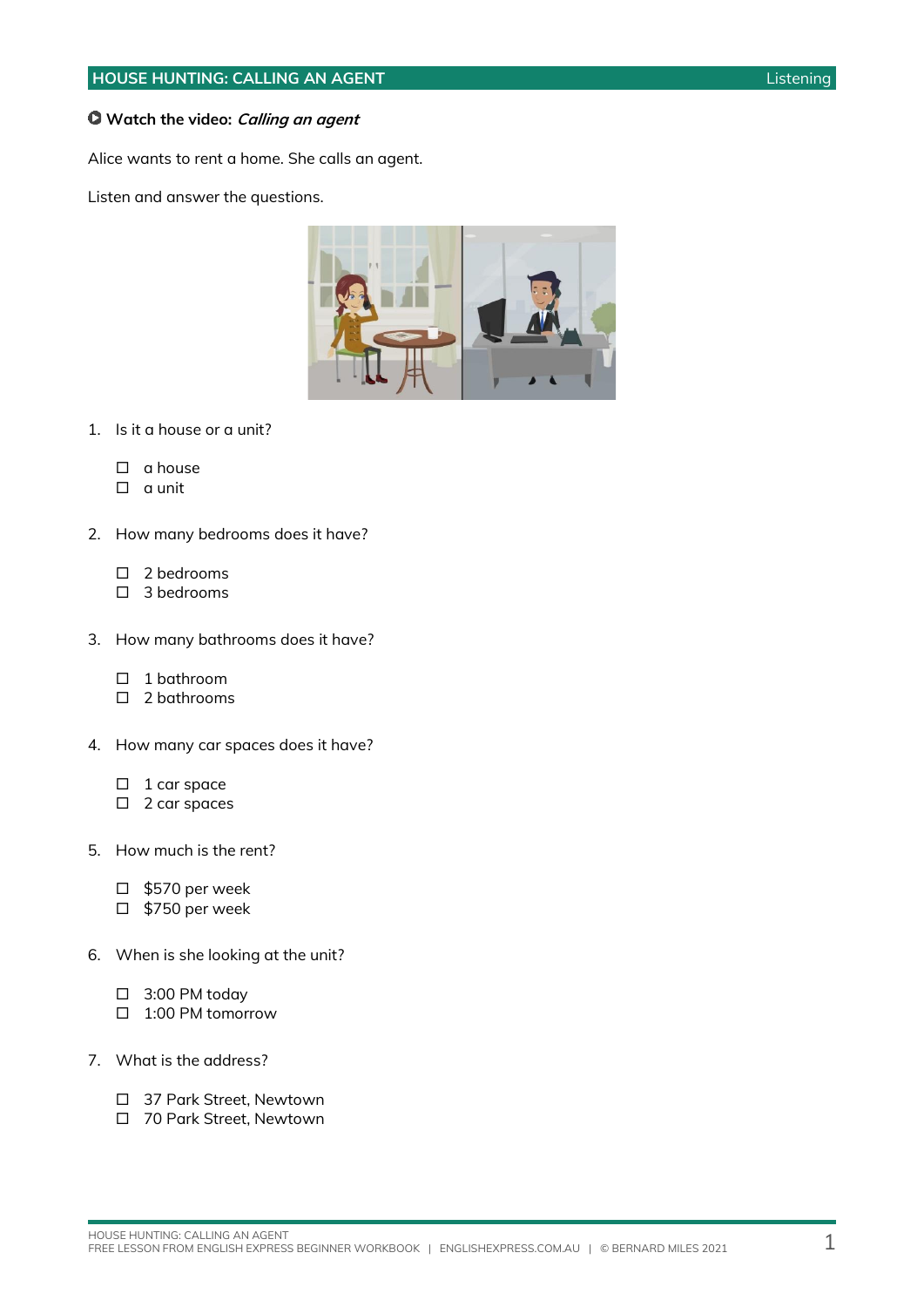### **Watch the video: Calling an agent**

Alice wants to rent a home. She calls an agent.

Listen and answer the questions.



- 1. Is it a house or a unit?
	- $\square$  a house
	- $\Box$  a unit
- 2. How many bedrooms does it have?
	- $\Box$  2 bedrooms
	- $\Box$  3 bedrooms
- 3. How many bathrooms does it have?
	- □ 1 bathroom
	- $\Box$  2 bathrooms
- 4. How many car spaces does it have?
	- $\Box$  1 car space
	- □ 2 car spaces
- 5. How much is the rent?
	- \$570 per week
	- □ \$750 per week
- 6. When is she looking at the unit?
	- 3:00 PM today
	- □ 1:00 PM tomorrow
- 7. What is the address?
	- □ 37 Park Street, Newtown
	- □ 70 Park Street, Newtown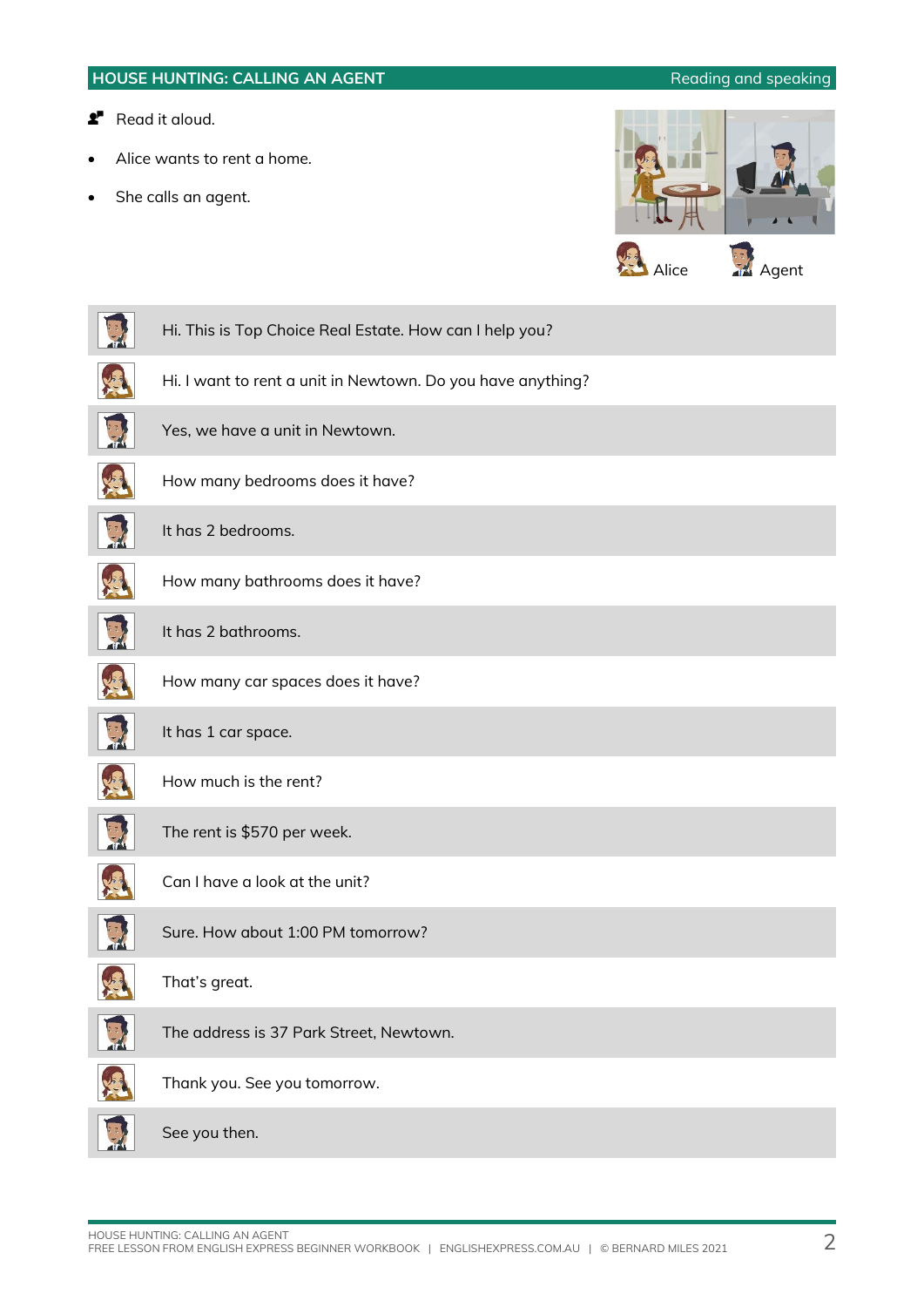### **HOUSE HUNTING: CALLING AN AGENT Reading and speaking**

- **2** Read it aloud.
- Alice wants to rent a home.
- She calls an agent.



| Hi. This is Top Choice Real Estate. How can I help you?     |
|-------------------------------------------------------------|
| Hi. I want to rent a unit in Newtown. Do you have anything? |
| Yes, we have a unit in Newtown.                             |
| How many bedrooms does it have?                             |
| It has 2 bedrooms.                                          |
| How many bathrooms does it have?                            |
| It has 2 bathrooms.                                         |
| How many car spaces does it have?                           |
| It has 1 car space.                                         |
| How much is the rent?                                       |
| The rent is \$570 per week.                                 |
| Can I have a look at the unit?                              |
| Sure. How about 1:00 PM tomorrow?                           |
| That's great.                                               |
| The address is 37 Park Street, Newtown.                     |
| Thank you. See you tomorrow.                                |
| See you then.                                               |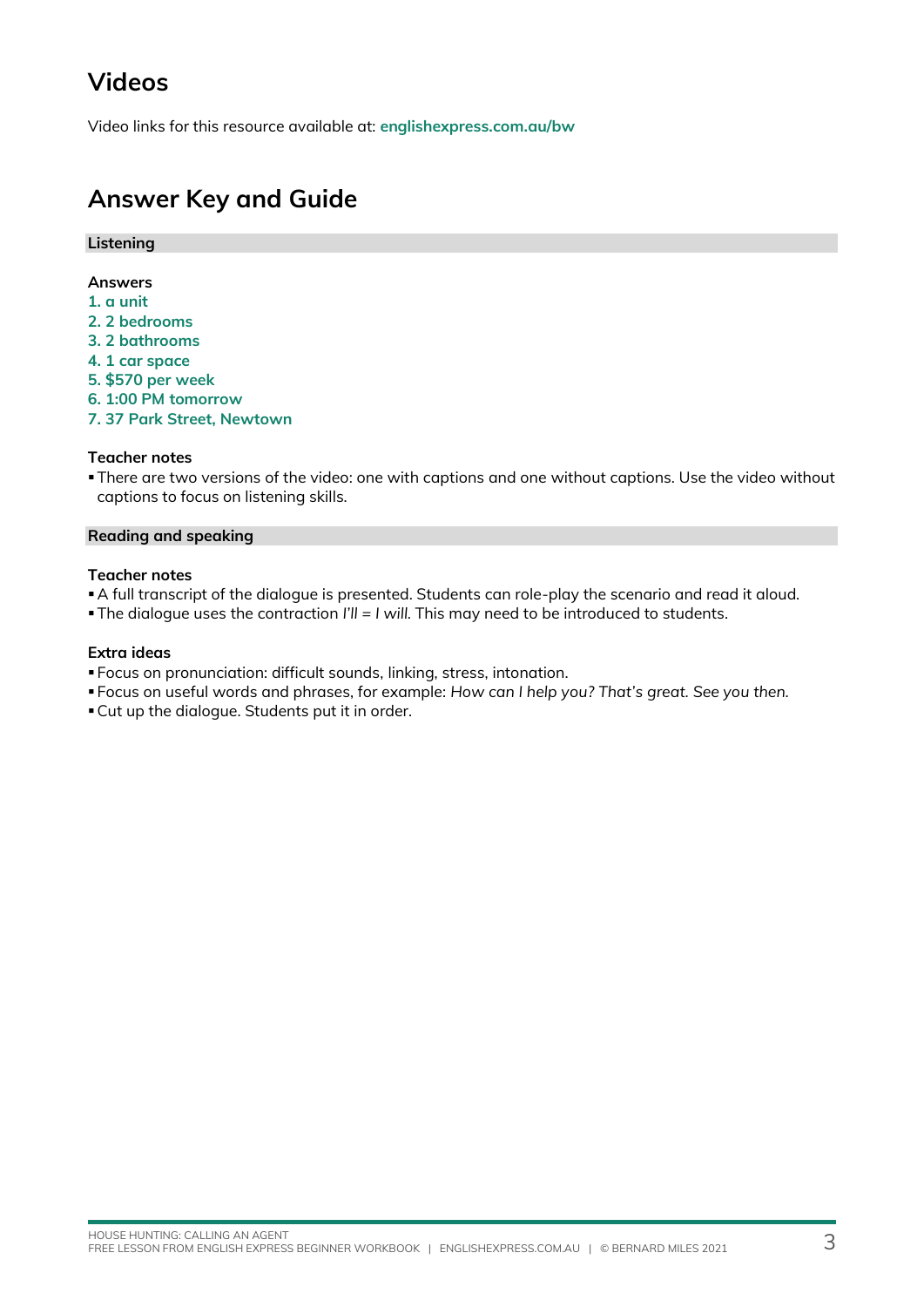## **Videos**

Video links for this resource available at: **[englishexpress.com.au/bw](https://www.englishexpress.com.au/bw)**

### **Answer Key and Guide**

### **Listening**

#### **Answers**

- **1. a unit**
- **2. 2 bedrooms**
- **3. 2 bathrooms**
- **4. 1 car space**
- **5. \$570 per week**
- **6. 1:00 PM tomorrow**
- **7. 37 Park Street, Newtown**

### **Teacher notes**

▪There are two versions of the video: one with captions and one without captions. Use the video without captions to focus on listening skills.

### **Reading and speaking**

### **Teacher notes**

- ▪A full transcript of the dialogue is presented. Students can role-play the scenario and read it aloud.
- ▪The dialogue uses the contraction *I'll = I will.* This may need to be introduced to students.

#### **Extra ideas**

- Focus on pronunciation: difficult sounds, linking, stress, intonation.
- Focus on useful words and phrases, for example: *How can I help you? That's great. See you then.*
- ▪Cut up the dialogue. Students put it in order.